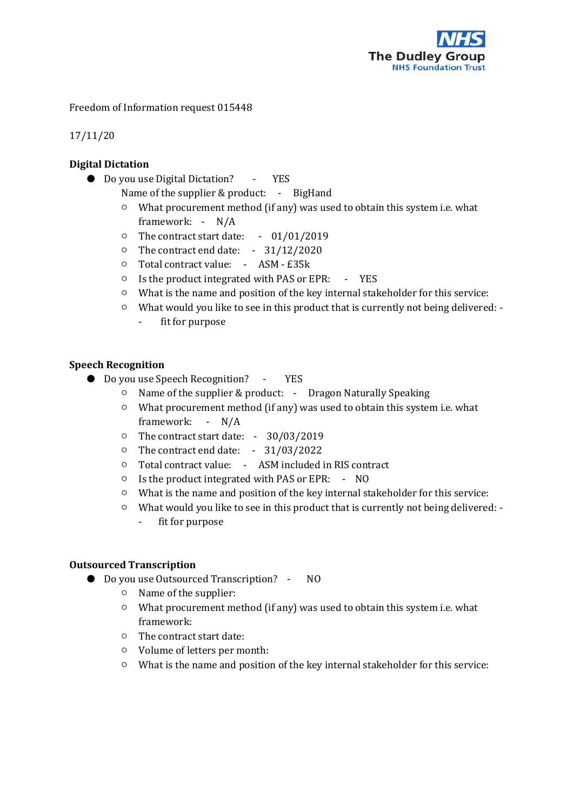

Freedom of Information request 015448

17/11/20

# **Digital Dictation**

- Do you use Digital Dictation? YES
	- Name of the supplier & product: BigHand
	- What procurement method (if any) was used to obtain this system i.e. what framework: - N/A
	- The contract start date: 01/01/2019
	- The contract end date: 31/12/2020
	- Total contract value: ASM £35k
	- Is the product integrated with PAS or EPR: YES
	- What is the name and position of the key internal stakeholder for this service:
	- What would you like to see in this product that is currently not being delivered:
		- fit for purpose

## **Speech Recognition**

- Do you use Speech Recognition? YES
	- Name of the supplier & product: Dragon Naturally Speaking
	- What procurement method (if any) was used to obtain this system i.e. what framework: - N/A
	- The contract start date: 30/03/2019
	- The contract end date: 31/03/2022
	- Total contract value: ASM included in RIS contract
	- Is the product integrated with PAS or EPR: NO
	- What is the name and position of the key internal stakeholder for this service:
	- What would you like to see in this product that is currently not being delivered: - fit for purpose

## **Outsourced Transcription**

- Do you use Outsourced Transcription? NO
	- Name of the supplier:
	- What procurement method (if any) was used to obtain this system i.e. what framework:
	- The contract start date:
	- Volume of letters per month:
	- What is the name and position of the key internal stakeholder for this service: